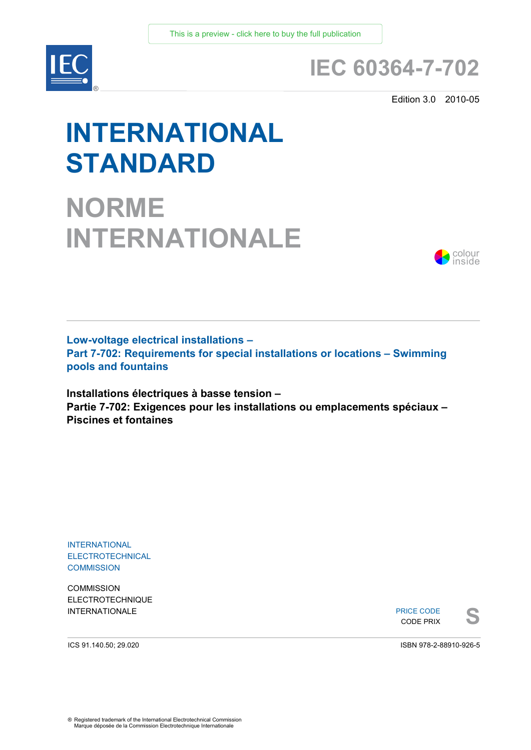

## **IEC 60364-7-702**

Edition 3.0 2010-05

# **INTERNATIONAL STANDARD**

**NORME INTERNATIONALE**



**Low-voltage electrical installations – Part 7-702: Requirements for special installations or locations – Swimming pools and fountains** 

**Installations électriques à basse tension – Partie 7-702: Exigences pour les installations ou emplacements spéciaux – Piscines et fontaines** 

INTERNATIONAL ELECTROTECHNICAL **COMMISSION** 

**COMMISSION** ELECTROTECHNIQUE

INTERNATIONALE **STATE OF SALE OF SALE OF SALE OF SALE OF SALE OF SALE OF SALE OF SALE OF SALE OF SALE OF SALE OF SALE OF SALE OF SALE OF SALE OF SALE OF SALE OF SALE OF SALE OF SALE OF SALE OF SALE OF SALE OF SALE OF SALE** PRICE CODE CODE PRIX



ICS 91.140.50; 29.020

ISBN 978-2-88910-926-5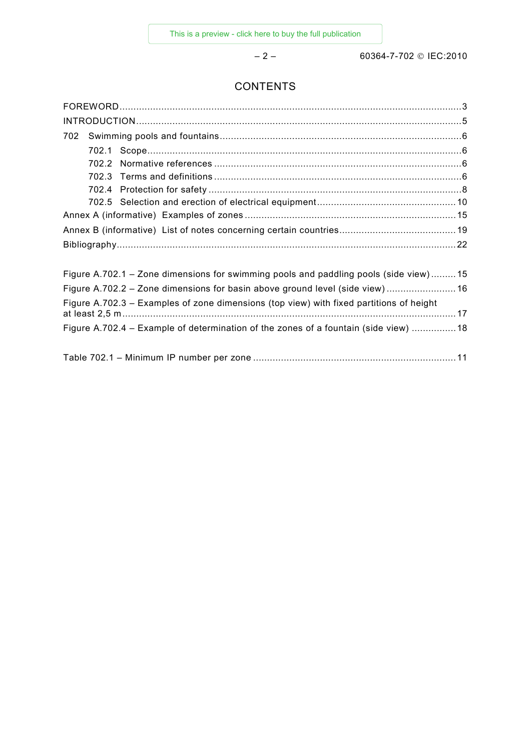– 2 – 60364-7-702 © IEC:2010

## **CONTENTS**

| 702                                                                          |  |                                                                                         |  |  |  |  |
|------------------------------------------------------------------------------|--|-----------------------------------------------------------------------------------------|--|--|--|--|
|                                                                              |  |                                                                                         |  |  |  |  |
|                                                                              |  |                                                                                         |  |  |  |  |
|                                                                              |  |                                                                                         |  |  |  |  |
|                                                                              |  |                                                                                         |  |  |  |  |
|                                                                              |  |                                                                                         |  |  |  |  |
|                                                                              |  |                                                                                         |  |  |  |  |
|                                                                              |  |                                                                                         |  |  |  |  |
|                                                                              |  |                                                                                         |  |  |  |  |
|                                                                              |  | Figure A.702.1 - Zone dimensions for swimming pools and paddling pools (side view)15    |  |  |  |  |
| Figure A.702.2 – Zone dimensions for basin above ground level (side view) 16 |  |                                                                                         |  |  |  |  |
|                                                                              |  | Figure A.702.3 – Examples of zone dimensions (top view) with fixed partitions of height |  |  |  |  |
|                                                                              |  | Figure A.702.4 – Example of determination of the zones of a fountain (side view)  18    |  |  |  |  |
|                                                                              |  |                                                                                         |  |  |  |  |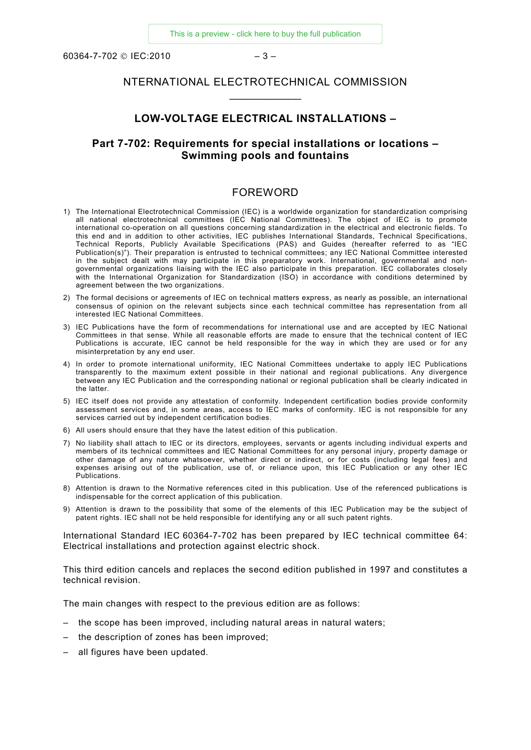<span id="page-2-0"></span> $60364 - 7 - 702 \odot 15 = 0.3 - 3$ 

## NTERNATIONAL ELECTROTECHNICAL COMMISSION  $\frac{1}{2}$  ,  $\frac{1}{2}$  ,  $\frac{1}{2}$  ,  $\frac{1}{2}$  ,  $\frac{1}{2}$  ,  $\frac{1}{2}$

## **LOW-VOLTAGE ELECTRICAL INSTALLATIONS –**

## **Part 7-702: Requirements for special installations or locations – Swimming pools and fountains**

## FOREWORD

- 1) The International Electrotechnical Commission (IEC) is a worldwide organization for standardization comprising all national electrotechnical committees (IEC National Committees). The object of IEC is to promote international co-operation on all questions concerning standardization in the electrical and electronic fields. To this end and in addition to other activities, IEC publishes International Standards, Technical Specifications, Technical Reports, Publicly Available Specifications (PAS) and Guides (hereafter referred to as "IEC Publication(s)"). Their preparation is entrusted to technical committees; any IEC National Committee interested in the subject dealt with may participate in this preparatory work. International, governmental and nongovernmental organizations liaising with the IEC also participate in this preparation. IEC collaborates closely with the International Organization for Standardization (ISO) in accordance with conditions determined by agreement between the two organizations.
- 2) The formal decisions or agreements of IEC on technical matters express, as nearly as possible, an international consensus of opinion on the relevant subjects since each technical committee has representation from all interested IEC National Committees.
- 3) IEC Publications have the form of recommendations for international use and are accepted by IEC National Committees in that sense. While all reasonable efforts are made to ensure that the technical content of IEC Publications is accurate, IEC cannot be held responsible for the way in which they are used or for any misinterpretation by any end user.
- 4) In order to promote international uniformity, IEC National Committees undertake to apply IEC Publications transparently to the maximum extent possible in their national and regional publications. Any divergence between any IEC Publication and the corresponding national or regional publication shall be clearly indicated in the latter.
- 5) IEC itself does not provide any attestation of conformity. Independent certification bodies provide conformity assessment services and, in some areas, access to IEC marks of conformity. IEC is not responsible for any services carried out by independent certification bodies.
- 6) All users should ensure that they have the latest edition of this publication.
- 7) No liability shall attach to IEC or its directors, employees, servants or agents including individual experts and members of its technical committees and IEC National Committees for any personal injury, property damage or other damage of any nature whatsoever, whether direct or indirect, or for costs (including legal fees) and expenses arising out of the publication, use of, or reliance upon, this IEC Publication or any other IEC Publications.
- 8) Attention is drawn to the Normative references cited in this publication. Use of the referenced publications is indispensable for the correct application of this publication.
- 9) Attention is drawn to the possibility that some of the elements of this IEC Publication may be the subject of patent rights. IEC shall not be held responsible for identifying any or all such patent rights.

International Standard IEC 60364-7-702 has been prepared by IEC technical committee 64: Electrical installations and protection against electric shock.

This third edition cancels and replaces the second edition published in 1997 and constitutes a technical revision.

The main changes with respect to the previous edition are as follows:

- the scope has been improved, including natural areas in natural waters;
- the description of zones has been improved;
- all figures have been updated.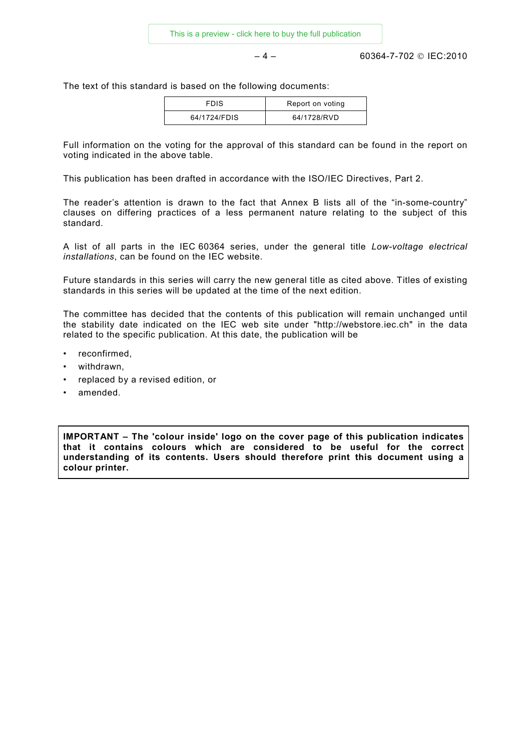$-4 - 60364 - 7 - 702 \odot 12010$ 

The text of this standard is based on the following documents:

| <b>FDIS</b>  | Report on voting |
|--------------|------------------|
| 64/1724/FDIS | 64/1728/RVD      |

Full information on the voting for the approval of this standard can be found in the report on voting indicated in the above table.

This publication has been drafted in accordance with the ISO/IEC Directives, Part 2.

The reader's attention is drawn to the fact that Annex B lists all of the "in-some-country" clauses on differing practices of a less permanent nature relating to the subject of this standard.

A list of all parts in the IEC 60364 series, under the general title *Low-voltage electrical installations*, can be found on the IEC website.

Future standards in this series will carry the new general title as cited above. Titles of existing standards in this series will be updated at the time of the next edition.

The committee has decided that the contents of this publication will remain unchanged until the stability date indicated on the IEC web site under "http://webstore.iec.ch" in the data related to the specific publication. At this date, the publication will be

- reconfirmed.
- withdrawn.
- replaced by a revised edition, or
- amended.

**IMPORTANT – The 'colour inside' logo on the cover page of this publication indicates that it contains colours which are considered to be useful for the correct understanding of its contents. Users should therefore print this document using a colour printer.**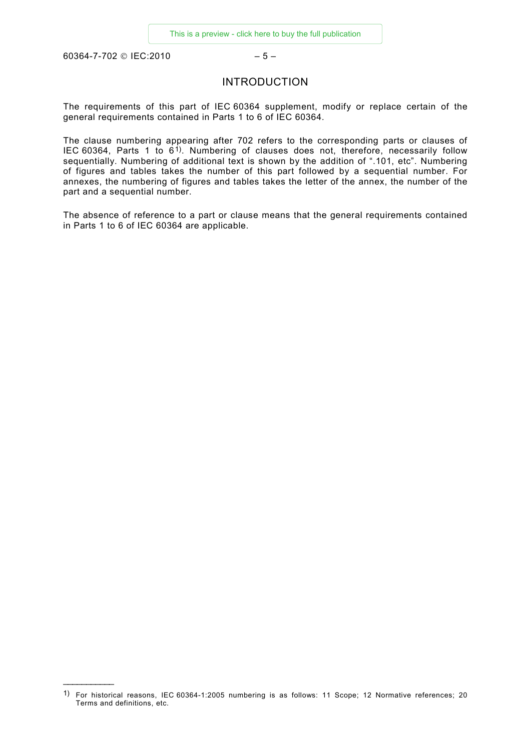<span id="page-4-0"></span>60364-7-702 © IEC:2010 – 5 –

 $\overline{\phantom{a}}$ 

## INTRODUCTION

The requirements of this part of IEC 60364 supplement, modify or replace certain of the general requirements contained in Parts 1 to 6 of IEC 60364.

The clause numbering appearing after 702 refers to the corresponding parts or clauses of IEC 60364, Parts 1 to 6<sup>1</sup>). Numbering of clauses does not, therefore, necessarily follow sequentially. Numbering of additional text is shown by the addition of ".101, etc". Numbering of figures and tables takes the number of this part followed by a sequential number. For annexes, the numbering of figures and tables takes the letter of the annex, the number of the part and a sequential number.

The absence of reference to a part or clause means that the general requirements contained in Parts 1 to 6 of IEC 60364 are applicable.

<sup>1)</sup> For historical reasons, IEC 60364-1:2005 numbering is as follows: 11 Scope; 12 Normative references; 20 Terms and definitions, etc.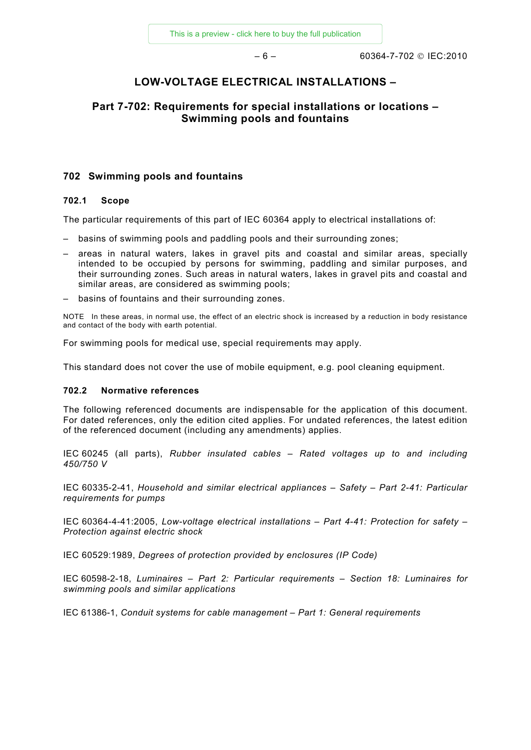## **LOW-VOLTAGE ELECTRICAL INSTALLATIONS –**

## <span id="page-5-0"></span>**Part 7-702: Requirements for special installations or locations – Swimming pools and fountains**

## **702 Swimming pools and fountains**

### **702.1 Scope**

The particular requirements of this part of IEC 60364 apply to electrical installations of:

- basins of swimming pools and paddling pools and their surrounding zones;
- areas in natural waters, lakes in gravel pits and coastal and similar areas, specially intended to be occupied by persons for swimming, paddling and similar purposes, and their surrounding zones. Such areas in natural waters, lakes in gravel pits and coastal and similar areas, are considered as swimming pools;
- basins of fountains and their surrounding zones.

NOTE In these areas, in normal use, the effect of an electric shock is increased by a reduction in body resistance and contact of the body with earth potential.

For swimming pools for medical use, special requirements may apply.

This standard does not cover the use of mobile equipment, e.g. pool cleaning equipment.

#### **702.2 Normative references**

The following referenced documents are indispensable for the application of this document. For dated references, only the edition cited applies. For undated references, the latest edition of the referenced document (including any amendments) applies.

IEC 60245 (all parts), *Rubber insulated cables – Rated voltages up to and including 450/750 V* 

IEC 60335-2-41, *Household and similar electrical appliances – Safety – Part 2-41: Particular requirements for pumps* 

IEC 60364-4-41:2005, *Low-voltage electrical installations – Part 4-41: Protection for safety – Protection against electric shock* 

IEC 60529:1989, *Degrees of protection provided by enclosures (IP Code)* 

IEC 60598-2-18, *Luminaires – Part 2: Particular requirements – Section 18: Luminaires for swimming pools and similar applications* 

IEC 61386-1, *Conduit systems for cable management – Part 1: General requirements*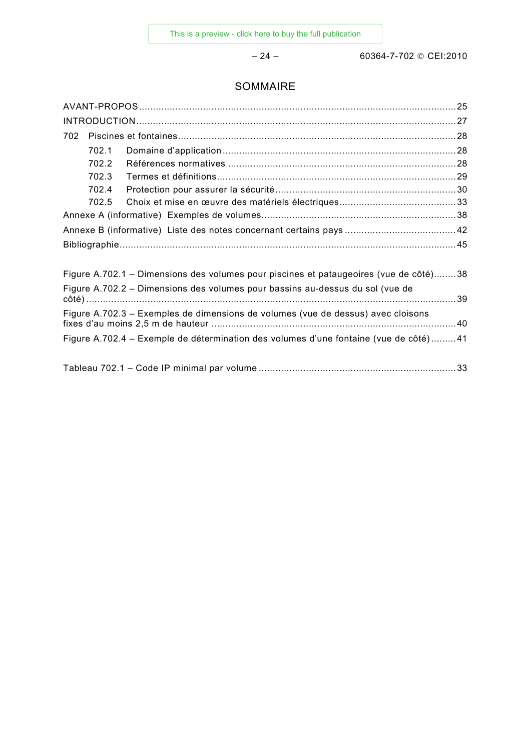– 24 – 60364-7-702 © CEI:2010

## SOMMAIRE

| 702 |       |                                                                                       |  |  |  |
|-----|-------|---------------------------------------------------------------------------------------|--|--|--|
|     | 702.1 |                                                                                       |  |  |  |
|     | 702.2 |                                                                                       |  |  |  |
|     | 702.3 |                                                                                       |  |  |  |
|     | 702.4 |                                                                                       |  |  |  |
|     | 702.5 |                                                                                       |  |  |  |
|     |       |                                                                                       |  |  |  |
|     |       |                                                                                       |  |  |  |
|     |       |                                                                                       |  |  |  |
|     |       | Figure A.702.1 - Dimensions des volumes pour piscines et pataugeoires (vue de côté)38 |  |  |  |
|     |       | Figure A.702.2 - Dimensions des volumes pour bassins au-dessus du sol (vue de         |  |  |  |
|     |       | Figure A.702.3 - Exemples de dimensions de volumes (vue de dessus) avec cloisons      |  |  |  |
|     |       | Figure A.702.4 – Exemple de détermination des volumes d'une fontaine (vue de côté)41  |  |  |  |
|     |       |                                                                                       |  |  |  |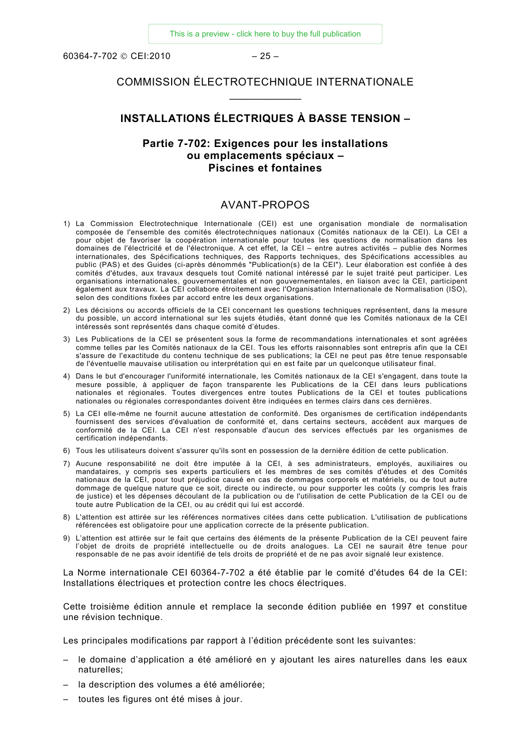<span id="page-7-0"></span> $60364 - 7 - 702 \odot CF12010$  – 25 –

## COMMISSION ÉLECTROTECHNIQUE INTERNATIONALE  $\frac{1}{2}$  ,  $\frac{1}{2}$  ,  $\frac{1}{2}$  ,  $\frac{1}{2}$  ,  $\frac{1}{2}$  ,  $\frac{1}{2}$

## **INSTALLATIONS ÉLECTRIQUES À BASSE TENSION –**

## **Partie 7-702: Exigences pour les installations ou emplacements spéciaux – Piscines et fontaines**

## AVANT-PROPOS

- 1) La Commission Electrotechnique Internationale (CEI) est une organisation mondiale de normalisation composée de l'ensemble des comités électrotechniques nationaux (Comités nationaux de la CEI). La CEI a pour objet de favoriser la coopération internationale pour toutes les questions de normalisation dans les domaines de l'électricité et de l'électronique. A cet effet, la CEI – entre autres activités – publie des Normes internationales, des Spécifications techniques, des Rapports techniques, des Spécifications accessibles au public (PAS) et des Guides (ci-après dénommés "Publication(s) de la CEI"). Leur élaboration est confiée à des comités d'études, aux travaux desquels tout Comité national intéressé par le sujet traité peut participer. Les organisations internationales, gouvernementales et non gouvernementales, en liaison avec la CEI, participent également aux travaux. La CEI collabore étroitement avec l'Organisation Internationale de Normalisation (ISO), selon des conditions fixées par accord entre les deux organisations.
- 2) Les décisions ou accords officiels de la CEI concernant les questions techniques représentent, dans la mesure du possible, un accord international sur les sujets étudiés, étant donné que les Comités nationaux de la CEI intéressés sont représentés dans chaque comité d'études.
- 3) Les Publications de la CEI se présentent sous la forme de recommandations internationales et sont agréées comme telles par les Comités nationaux de la CEI. Tous les efforts raisonnables sont entrepris afin que la CEI s'assure de l'exactitude du contenu technique de ses publications; la CEI ne peut pas être tenue responsable de l'éventuelle mauvaise utilisation ou interprétation qui en est faite par un quelconque utilisateur final.
- 4) Dans le but d'encourager l'uniformité internationale, les Comités nationaux de la CEI s'engagent, dans toute la mesure possible, à appliquer de façon transparente les Publications de la CEI dans leurs publications nationales et régionales. Toutes divergences entre toutes Publications de la CEI et toutes publications nationales ou régionales correspondantes doivent être indiquées en termes clairs dans ces dernières.
- 5) La CEI elle-même ne fournit aucune attestation de conformité. Des organismes de certification indépendants fournissent des services d'évaluation de conformité et, dans certains secteurs, accèdent aux marques de conformité de la CEI. La CEI n'est responsable d'aucun des services effectués par les organismes de certification indépendants.
- 6) Tous les utilisateurs doivent s'assurer qu'ils sont en possession de la dernière édition de cette publication.
- 7) Aucune responsabilité ne doit être imputée à la CEI, à ses administrateurs, employés, auxiliaires ou mandataires, y compris ses experts particuliers et les membres de ses comités d'études et des Comités nationaux de la CEI, pour tout préjudice causé en cas de dommages corporels et matériels, ou de tout autre dommage de quelque nature que ce soit, directe ou indirecte, ou pour supporter les coûts (y compris les frais de justice) et les dépenses découlant de la publication ou de l'utilisation de cette Publication de la CEI ou de toute autre Publication de la CEI, ou au crédit qui lui est accordé.
- 8) L'attention est attirée sur les références normatives citées dans cette publication. L'utilisation de publications référencées est obligatoire pour une application correcte de la présente publication.
- 9) L'attention est attirée sur le fait que certains des éléments de la présente Publication de la CEI peuvent faire l'objet de droits de propriété intellectuelle ou de droits analogues. La CEI ne saurait être tenue pour responsable de ne pas avoir identifié de tels droits de propriété et de ne pas avoir signalé leur existence.

La Norme internationale CEI 60364-7-702 a été établie par le comité d'études 64 de la CEI: Installations électriques et protection contre les chocs électriques.

Cette troisième édition annule et remplace la seconde édition publiée en 1997 et constitue une révision technique.

Les principales modifications par rapport à l'édition précédente sont les suivantes:

- le domaine d'application a été amélioré en y ajoutant les aires naturelles dans les eaux naturelles;
- la description des volumes a été améliorée;
- toutes les figures ont été mises à jour.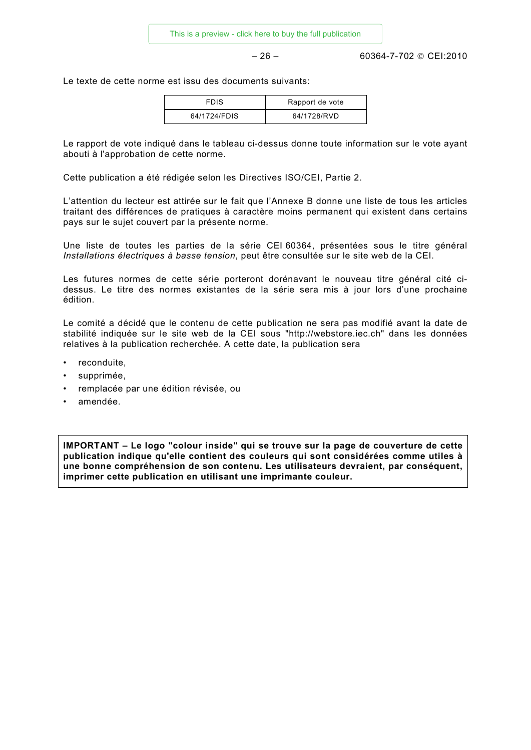$-26 - 60364 - 7 - 702 \odot CF12010$ 

Le texte de cette norme est issu des documents suivants:

| <b>FDIS</b>  | Rapport de vote |
|--------------|-----------------|
| 64/1724/FDIS | 64/1728/RVD     |

Le rapport de vote indiqué dans le tableau ci-dessus donne toute information sur le vote ayant abouti à l'approbation de cette norme.

Cette publication a été rédigée selon les Directives ISO/CEI, Partie 2.

L'attention du lecteur est attirée sur le fait que l'Annexe B donne une liste de tous les articles traitant des différences de pratiques à caractère moins permanent qui existent dans certains pays sur le sujet couvert par la présente norme.

Une liste de toutes les parties de la série CEI 60364, présentées sous le titre général *Installations électriques à basse tension*, peut être consultée sur le site web de la CEI.

Les futures normes de cette série porteront dorénavant le nouveau titre général cité cidessus. Le titre des normes existantes de la série sera mis à jour lors d'une prochaine édition.

Le comité a décidé que le contenu de cette publication ne sera pas modifié avant la date de stabilité indiquée sur le site web de la CEI sous "http://webstore.iec.ch" dans les données relatives à la publication recherchée. A cette date, la publication sera

- reconduite,
- supprimée,
- remplacée par une édition révisée, ou
- amendée.

**IMPORTANT – Le logo "colour inside" qui se trouve sur la page de couverture de cette publication indique qu'elle contient des couleurs qui sont considérées comme utiles à une bonne compréhension de son contenu. Les utilisateurs devraient, par conséquent, imprimer cette publication en utilisant une imprimante couleur.**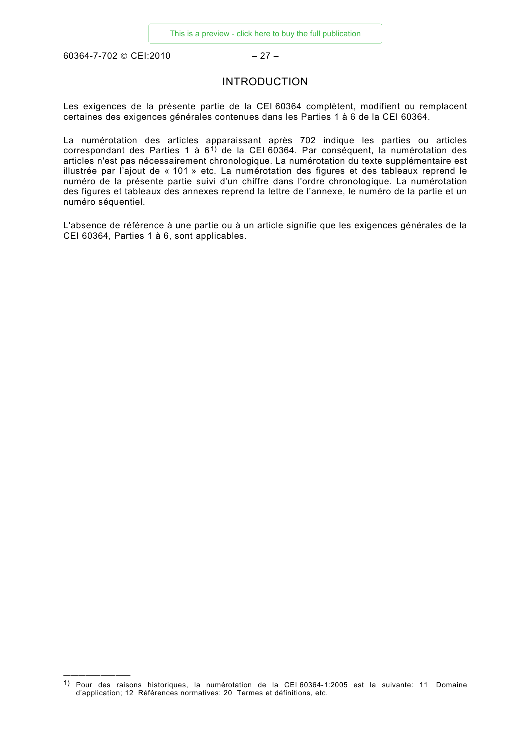<span id="page-9-0"></span>60364-7-702 © CEI:2010 – 27 –

—————————

$$
-27 -
$$

## INTRODUCTION

Les exigences de la présente partie de la CEI 60364 complètent, modifient ou remplacent certaines des exigences générales contenues dans les Parties 1 à 6 de la CEI 60364.

La numérotation des articles apparaissant après 702 indique les parties ou articles correspondant des Parties [1](#page-9-0) à 6<sup>1)</sup> de la CEI 60364. Par conséquent, la numérotation des articles n'est pas nécessairement chronologique. La numérotation du texte supplémentaire est illustrée par l'ajout de « 101 » etc. La numérotation des figures et des tableaux reprend le numéro de la présente partie suivi d'un chiffre dans l'ordre chronologique. La numérotation des figures et tableaux des annexes reprend la lettre de l'annexe, le numéro de la partie et un numéro séquentiel.

L'absence de référence à une partie ou à un article signifie que les exigences générales de la CEI 60364, Parties 1 à 6, sont applicables.

<sup>1)</sup> Pour des raisons historiques, la numérotation de la CEI 60364-1:2005 est la suivante: 11 Domaine d'application; 12 Références normatives; 20 Termes et définitions, etc.